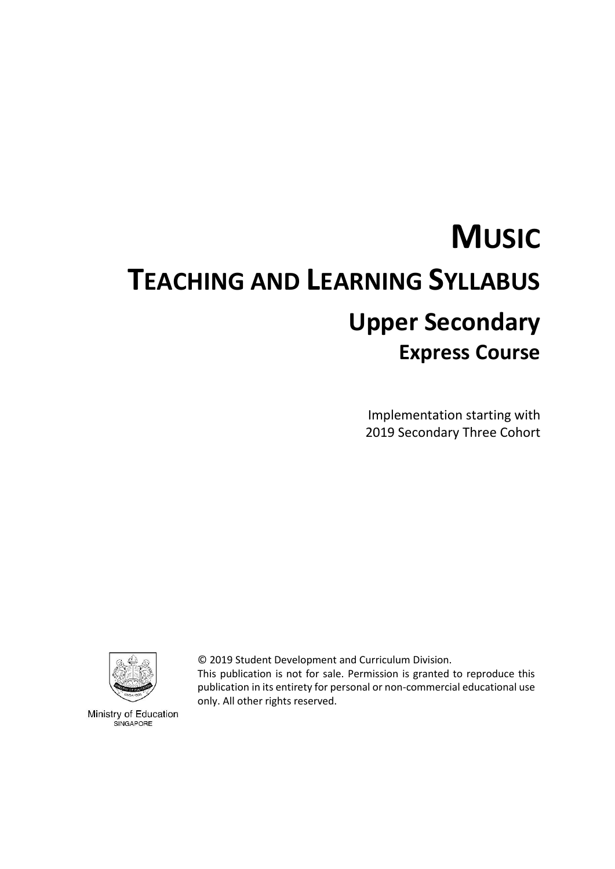# **MUSIC TEACHING AND LEARNING SYLLABUS Upper Secondary Express Course**

Implementation starting with 2019 Secondary Three Cohort



Ministry of Education SINGAPORE

© 2019 Student Development and Curriculum Division.

This publication is not for sale. Permission is granted to reproduce this publication in its entirety for personal or non-commercial educational use only. All other rights reserved.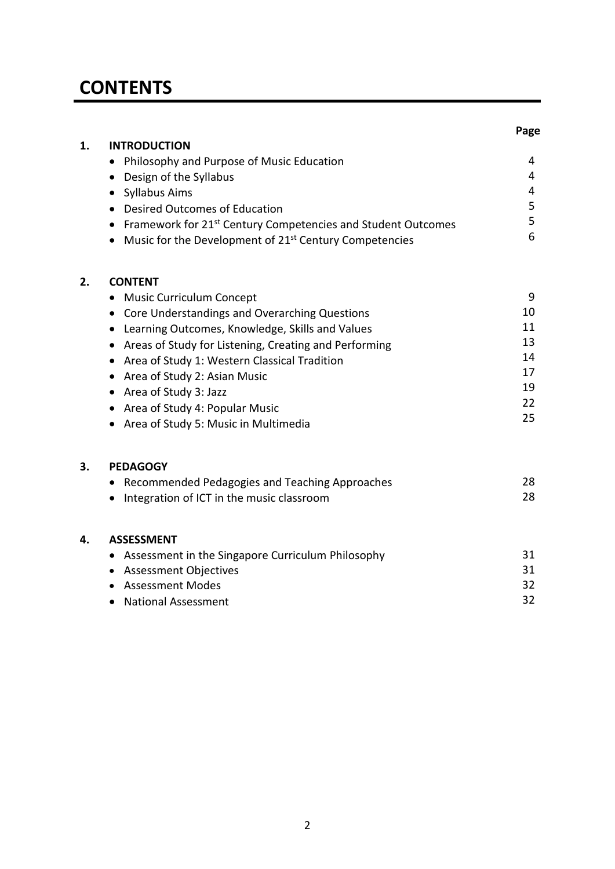## **CONTENTS**

|    |                                                                                       | Page     |
|----|---------------------------------------------------------------------------------------|----------|
| 1. | <b>INTRODUCTION</b>                                                                   |          |
|    | Philosophy and Purpose of Music Education<br>$\bullet$                                | 4        |
|    | Design of the Syllabus<br>$\bullet$                                                   | 4        |
|    | • Syllabus Aims                                                                       | 4        |
|    | • Desired Outcomes of Education                                                       | 5        |
|    | Framework for 21 <sup>st</sup> Century Competencies and Student Outcomes<br>$\bullet$ | 5        |
|    | • Music for the Development of 21 <sup>st</sup> Century Competencies                  | 6        |
| 2. | <b>CONTENT</b>                                                                        |          |
|    | <b>Music Curriculum Concept</b><br>$\bullet$                                          | 9        |
|    | • Core Understandings and Overarching Questions                                       | 10       |
|    | Learning Outcomes, Knowledge, Skills and Values<br>$\bullet$                          | 11       |
|    | Areas of Study for Listening, Creating and Performing<br>$\bullet$                    | 13       |
|    | Area of Study 1: Western Classical Tradition<br>$\bullet$                             | 14       |
|    | Area of Study 2: Asian Music<br>$\bullet$                                             | 17       |
|    | • Area of Study 3: Jazz                                                               | 19       |
|    | Area of Study 4: Popular Music<br>$\bullet$                                           | 22<br>25 |
|    | • Area of Study 5: Music in Multimedia                                                |          |
| 3. | <b>PEDAGOGY</b>                                                                       |          |
|    | Recommended Pedagogies and Teaching Approaches<br>٠                                   | 28       |
|    | Integration of ICT in the music classroom<br>$\bullet$                                | 28       |
| 4. | <b>ASSESSMENT</b>                                                                     |          |
|    | Assessment in the Singapore Curriculum Philosophy<br>$\bullet$                        | 31       |
|    | • Assessment Objectives                                                               | 31       |
|    | <b>Assessment Modes</b>                                                               | 32       |
|    | <b>National Assessment</b>                                                            | 32       |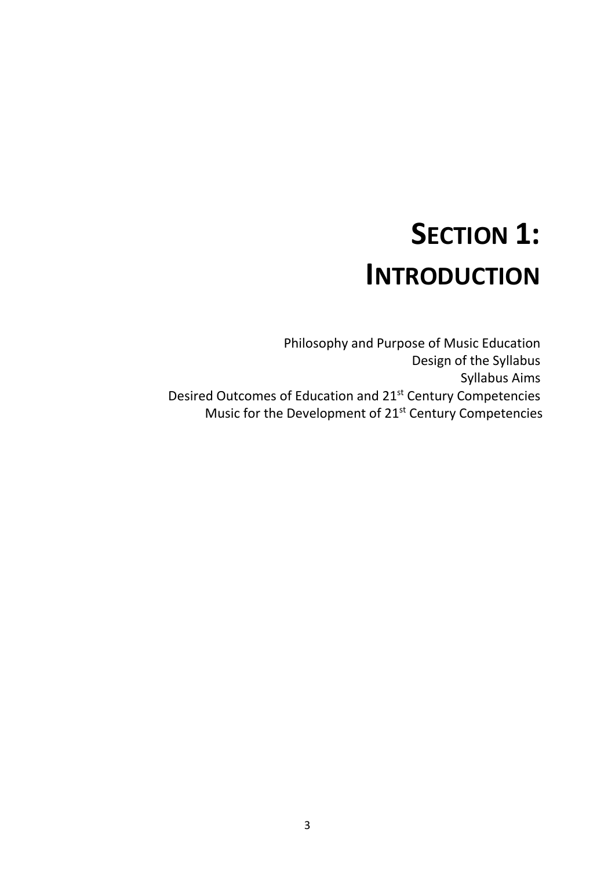# **SECTION 1: INTRODUCTION**

Philosophy and Purpose of Music Education Design of the Syllabus Syllabus Aims Desired Outcomes of Education and 21st Century Competencies Music for the Development of 21<sup>st</sup> Century Competencies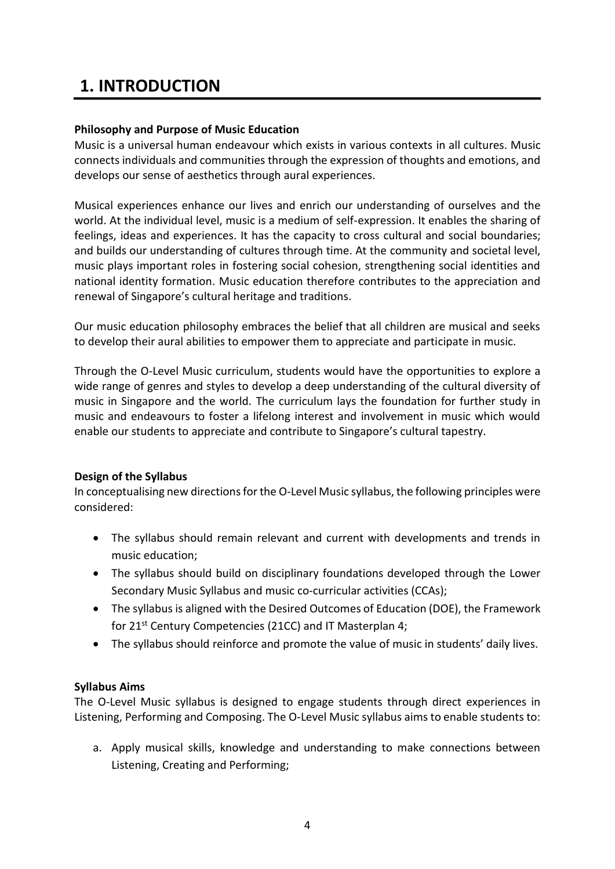## **1. INTRODUCTION**

#### **Philosophy and Purpose of Music Education**

Music is a universal human endeavour which exists in various contexts in all cultures. Music connects individuals and communities through the expression of thoughts and emotions, and develops our sense of aesthetics through aural experiences.

Musical experiences enhance our lives and enrich our understanding of ourselves and the world. At the individual level, music is a medium of self-expression. It enables the sharing of feelings, ideas and experiences. It has the capacity to cross cultural and social boundaries; and builds our understanding of cultures through time. At the community and societal level, music plays important roles in fostering social cohesion, strengthening social identities and national identity formation. Music education therefore contributes to the appreciation and renewal of Singapore's cultural heritage and traditions.

Our music education philosophy embraces the belief that all children are musical and seeks to develop their aural abilities to empower them to appreciate and participate in music.

Through the O-Level Music curriculum, students would have the opportunities to explore a wide range of genres and styles to develop a deep understanding of the cultural diversity of music in Singapore and the world. The curriculum lays the foundation for further study in music and endeavours to foster a lifelong interest and involvement in music which would enable our students to appreciate and contribute to Singapore's cultural tapestry.

### **Design of the Syllabus**

In conceptualising new directions for the O-Level Music syllabus, the following principles were considered:

- The syllabus should remain relevant and current with developments and trends in music education;
- The syllabus should build on disciplinary foundations developed through the Lower Secondary Music Syllabus and music co-curricular activities (CCAs);
- The syllabus is aligned with the Desired Outcomes of Education (DOE), the Framework for 21<sup>st</sup> Century Competencies (21CC) and IT Masterplan 4;
- The syllabus should reinforce and promote the value of music in students' daily lives.

### **Syllabus Aims**

The O-Level Music syllabus is designed to engage students through direct experiences in Listening, Performing and Composing. The O-Level Music syllabus aims to enable students to:

a. Apply musical skills, knowledge and understanding to make connections between Listening, Creating and Performing;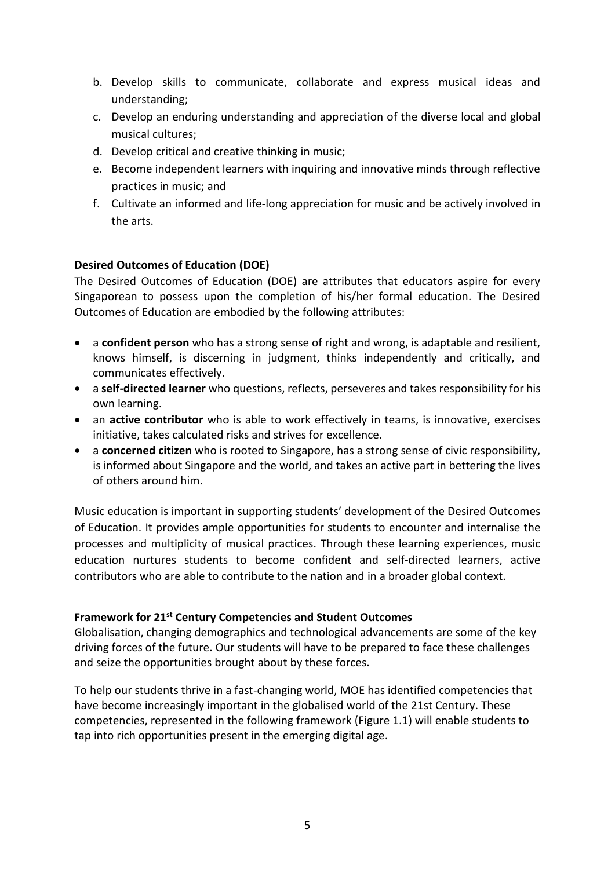- b. Develop skills to communicate, collaborate and express musical ideas and understanding;
- c. Develop an enduring understanding and appreciation of the diverse local and global musical cultures;
- d. Develop critical and creative thinking in music;
- e. Become independent learners with inquiring and innovative minds through reflective practices in music; and
- f. Cultivate an informed and life-long appreciation for music and be actively involved in the arts.

#### **Desired Outcomes of Education (DOE)**

The Desired Outcomes of Education (DOE) are attributes that educators aspire for every Singaporean to possess upon the completion of his/her formal education. The Desired Outcomes of Education are embodied by the following attributes:

- a **confident person** who has a strong sense of right and wrong, is adaptable and resilient, knows himself, is discerning in judgment, thinks independently and critically, and communicates effectively.
- a **self-directed learner** who questions, reflects, perseveres and takes responsibility for his own learning.
- an **active contributor** who is able to work effectively in teams, is innovative, exercises initiative, takes calculated risks and strives for excellence.
- a **concerned citizen** who is rooted to Singapore, has a strong sense of civic responsibility, is informed about Singapore and the world, and takes an active part in bettering the lives of others around him.

Music education is important in supporting students' development of the Desired Outcomes of Education. It provides ample opportunities for students to encounter and internalise the processes and multiplicity of musical practices. Through these learning experiences, music education nurtures students to become confident and self-directed learners, active contributors who are able to contribute to the nation and in a broader global context.

#### **Framework for 21st Century Competencies and Student Outcomes**

Globalisation, changing demographics and technological advancements are some of the key driving forces of the future. Our students will have to be prepared to face these challenges and seize the opportunities brought about by these forces.

To help our students thrive in a fast-changing world, MOE has identified competencies that have become increasingly important in the globalised world of the 21st Century. These competencies, represented in the following framework (Figure 1.1) will enable students to tap into rich opportunities present in the emerging digital age.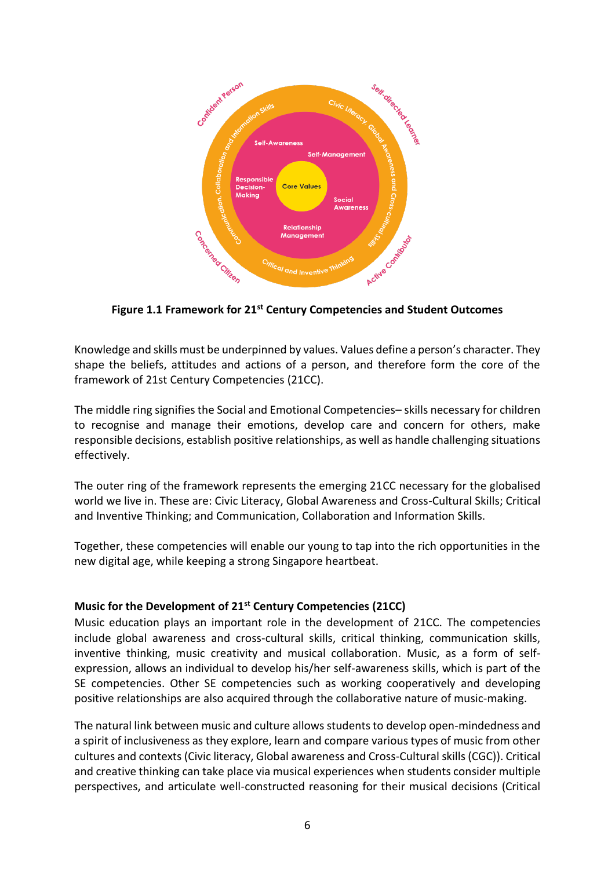

**Figure 1.1 Framework for 21st Century Competencies and Student Outcomes**

Knowledge and skills must be underpinned by values. Values define a person's character. They shape the beliefs, attitudes and actions of a person, and therefore form the core of the framework of 21st Century Competencies (21CC).

The middle ring signifies the Social and Emotional Competencies– skills necessary for children to recognise and manage their emotions, develop care and concern for others, make responsible decisions, establish positive relationships, as well as handle challenging situations effectively.

The outer ring of the framework represents the emerging 21CC necessary for the globalised world we live in. These are: Civic Literacy, Global Awareness and Cross-Cultural Skills; Critical and Inventive Thinking; and Communication, Collaboration and Information Skills.

Together, these competencies will enable our young to tap into the rich opportunities in the new digital age, while keeping a strong Singapore heartbeat.

#### **Music for the Development of 21st Century Competencies (21CC)**

Music education plays an important role in the development of 21CC. The competencies include global awareness and cross-cultural skills, critical thinking, communication skills, inventive thinking, music creativity and musical collaboration. Music, as a form of selfexpression, allows an individual to develop his/her self-awareness skills, which is part of the SE competencies. Other SE competencies such as working cooperatively and developing positive relationships are also acquired through the collaborative nature of music-making.

The natural link between music and culture allows students to develop open-mindedness and a spirit of inclusiveness as they explore, learn and compare various types of music from other cultures and contexts (Civic literacy, Global awareness and Cross-Cultural skills (CGC)). Critical and creative thinking can take place via musical experiences when students consider multiple perspectives, and articulate well-constructed reasoning for their musical decisions (Critical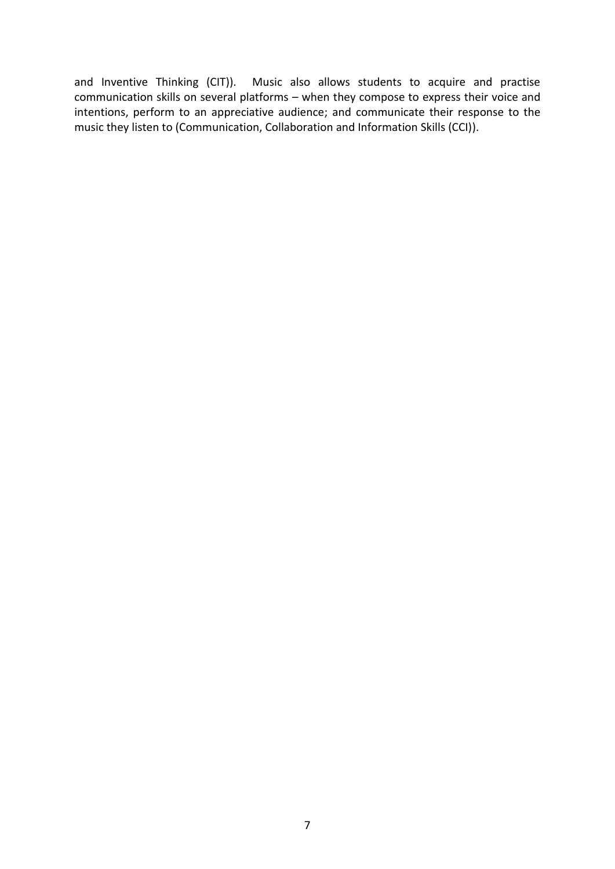and Inventive Thinking (CIT)). Music also allows students to acquire and practise communication skills on several platforms – when they compose to express their voice and intentions, perform to an appreciative audience; and communicate their response to the music they listen to (Communication, Collaboration and Information Skills (CCI)).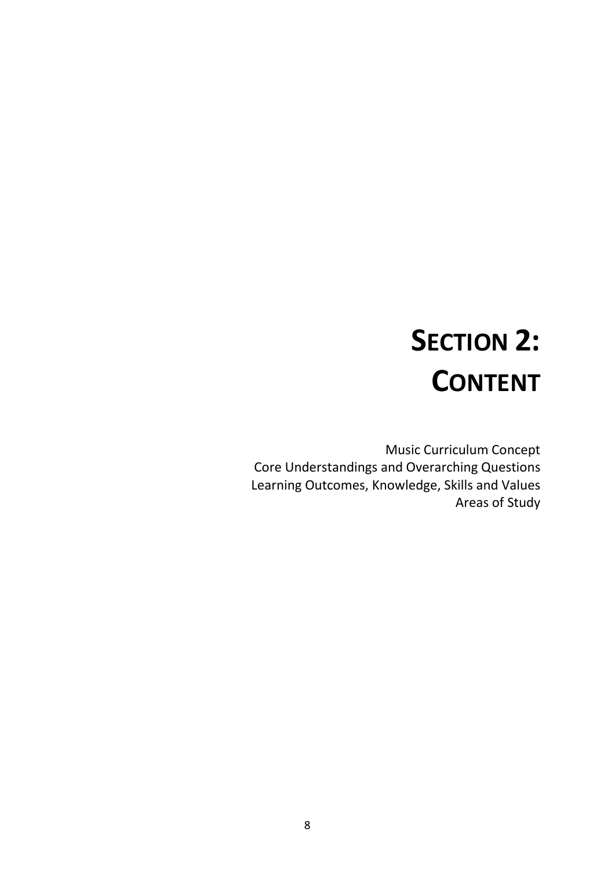# **SECTION 2: CONTENT**

Music Curriculum Concept Core Understandings and Overarching Questions Learning Outcomes, Knowledge, Skills and Values Areas of Study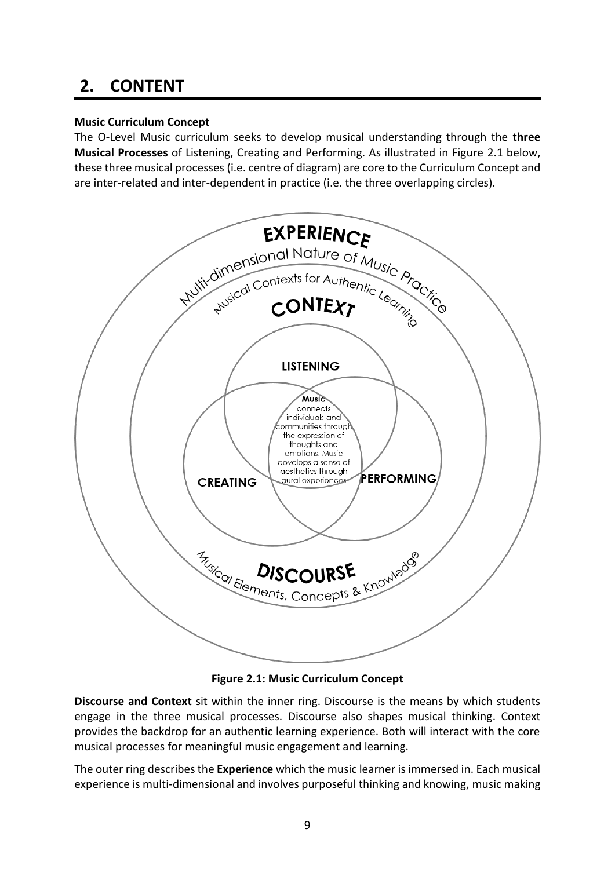## **2. CONTENT**

### **Music Curriculum Concept**

The O-Level Music curriculum seeks to develop musical understanding through the **three Musical Processes** of Listening, Creating and Performing. As illustrated in Figure 2.1 below, these three musical processes (i.e. centre of diagram) are core to the Curriculum Concept and are inter-related and inter-dependent in practice (i.e. the three overlapping circles).



**Figure 2.1: Music Curriculum Concept**

**Discourse and Context** sit within the inner ring. Discourse is the means by which students engage in the three musical processes. Discourse also shapes musical thinking. Context provides the backdrop for an authentic learning experience. Both will interact with the core musical processes for meaningful music engagement and learning.

The outer ring describes the **Experience** which the music learner is immersed in. Each musical experience is multi-dimensional and involves purposeful thinking and knowing, music making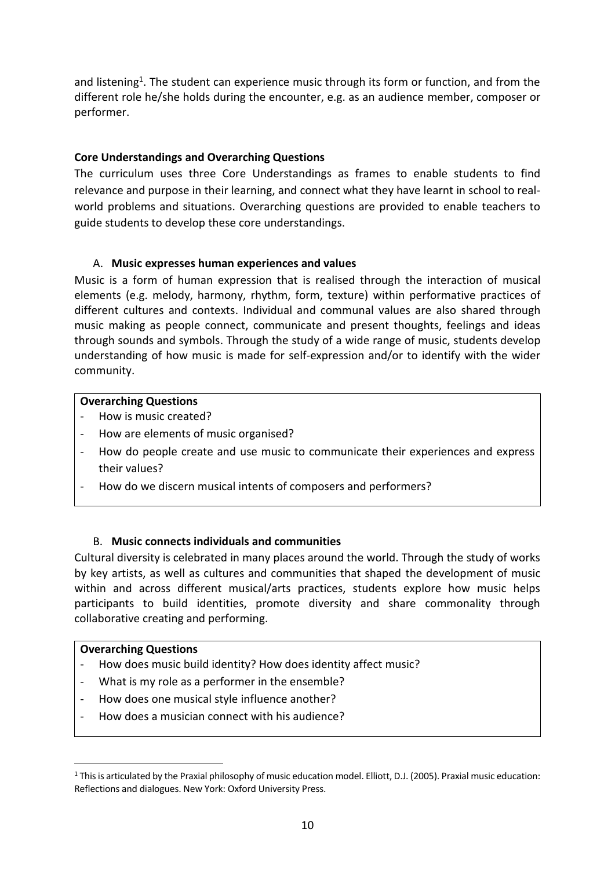and listening<sup>1</sup>. The student can experience music through its form or function, and from the different role he/she holds during the encounter, e.g. as an audience member, composer or performer.

#### **Core Understandings and Overarching Questions**

The curriculum uses three Core Understandings as frames to enable students to find relevance and purpose in their learning, and connect what they have learnt in school to realworld problems and situations. Overarching questions are provided to enable teachers to guide students to develop these core understandings.

#### A. **Music expresses human experiences and values**

Music is a form of human expression that is realised through the interaction of musical elements (e.g. melody, harmony, rhythm, form, texture) within performative practices of different cultures and contexts. Individual and communal values are also shared through music making as people connect, communicate and present thoughts, feelings and ideas through sounds and symbols. Through the study of a wide range of music, students develop understanding of how music is made for self-expression and/or to identify with the wider community.

#### **Overarching Questions**

- How is music created?
- How are elements of music organised?
- How do people create and use music to communicate their experiences and express their values?
- How do we discern musical intents of composers and performers?

#### B. **Music connects individuals and communities**

Cultural diversity is celebrated in many places around the world. Through the study of works by key artists, as well as cultures and communities that shaped the development of music within and across different musical/arts practices, students explore how music helps participants to build identities, promote diversity and share commonality through collaborative creating and performing.

#### **Overarching Questions**

1

- How does music build identity? How does identity affect music?
- What is my role as a performer in the ensemble?
- How does one musical style influence another?
- How does a musician connect with his audience?

 $1$  This is articulated by the Praxial philosophy of music education model. Elliott, D.J. (2005). Praxial music education: Reflections and dialogues. New York: Oxford University Press.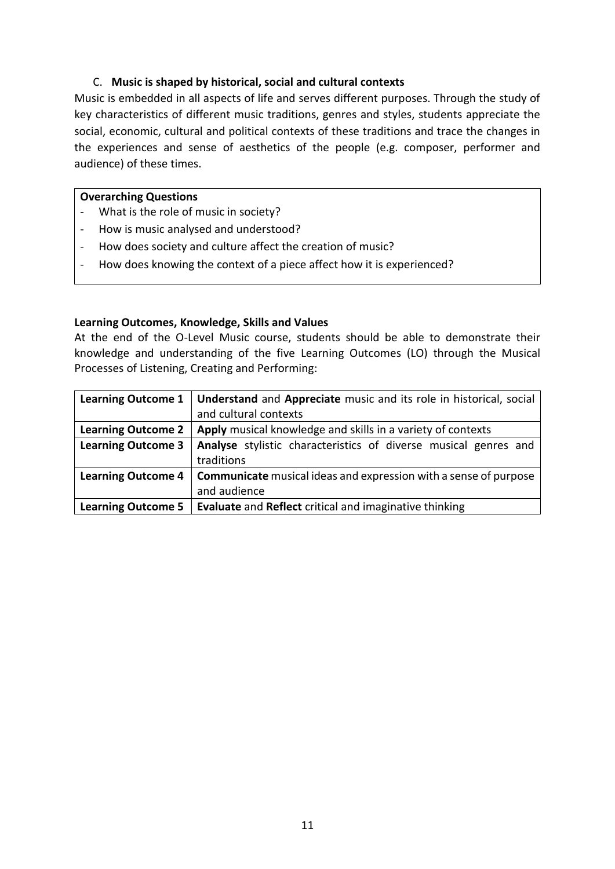#### C. **Music is shaped by historical, social and cultural contexts**

Music is embedded in all aspects of life and serves different purposes. Through the study of key characteristics of different music traditions, genres and styles, students appreciate the social, economic, cultural and political contexts of these traditions and trace the changes in the experiences and sense of aesthetics of the people (e.g. composer, performer and audience) of these times.

#### **Overarching Questions**

- What is the role of music in society?
- How is music analysed and understood?
- How does society and culture affect the creation of music?
- How does knowing the context of a piece affect how it is experienced?

#### **Learning Outcomes, Knowledge, Skills and Values**

At the end of the O-Level Music course, students should be able to demonstrate their knowledge and understanding of the five Learning Outcomes (LO) through the Musical Processes of Listening, Creating and Performing:

|                           | <b>Learning Outcome 1</b>   Understand and Appreciate music and its role in historical, social |  |  |
|---------------------------|------------------------------------------------------------------------------------------------|--|--|
|                           | and cultural contexts                                                                          |  |  |
| <b>Learning Outcome 2</b> | Apply musical knowledge and skills in a variety of contexts                                    |  |  |
| <b>Learning Outcome 3</b> | Analyse stylistic characteristics of diverse musical genres and                                |  |  |
|                           | traditions                                                                                     |  |  |
| <b>Learning Outcome 4</b> | <b>Communicate</b> musical ideas and expression with a sense of purpose                        |  |  |
|                           | and audience                                                                                   |  |  |
| <b>Learning Outcome 5</b> | Evaluate and Reflect critical and imaginative thinking                                         |  |  |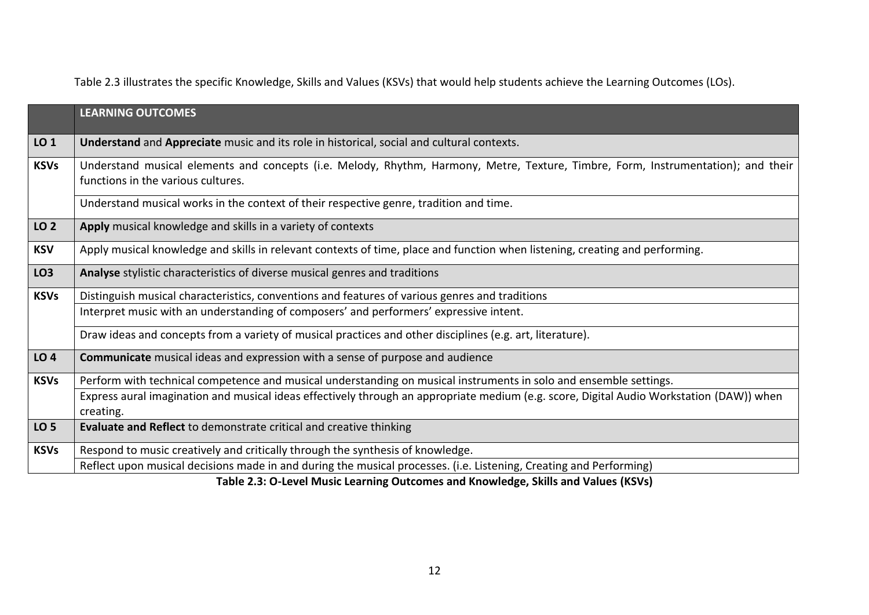Table 2.3 illustrates the specific Knowledge, Skills and Values (KSVs) that would help students achieve the Learning Outcomes (LOs).

|                 | <b>LEARNING OUTCOMES</b>                                                                                                                                                |
|-----------------|-------------------------------------------------------------------------------------------------------------------------------------------------------------------------|
| LO <sub>1</sub> | Understand and Appreciate music and its role in historical, social and cultural contexts.                                                                               |
| <b>KSVs</b>     | Understand musical elements and concepts (i.e. Melody, Rhythm, Harmony, Metre, Texture, Timbre, Form, Instrumentation); and their<br>functions in the various cultures. |
|                 | Understand musical works in the context of their respective genre, tradition and time.                                                                                  |
| LO <sub>2</sub> | Apply musical knowledge and skills in a variety of contexts                                                                                                             |
| <b>KSV</b>      | Apply musical knowledge and skills in relevant contexts of time, place and function when listening, creating and performing.                                            |
| LO <sub>3</sub> | Analyse stylistic characteristics of diverse musical genres and traditions                                                                                              |
| <b>KSVs</b>     | Distinguish musical characteristics, conventions and features of various genres and traditions                                                                          |
|                 | Interpret music with an understanding of composers' and performers' expressive intent.                                                                                  |
|                 | Draw ideas and concepts from a variety of musical practices and other disciplines (e.g. art, literature).                                                               |
| LO <sub>4</sub> | <b>Communicate</b> musical ideas and expression with a sense of purpose and audience                                                                                    |
| <b>KSVs</b>     | Perform with technical competence and musical understanding on musical instruments in solo and ensemble settings.                                                       |
|                 | Express aural imagination and musical ideas effectively through an appropriate medium (e.g. score, Digital Audio Workstation (DAW)) when<br>creating.                   |
| LO <sub>5</sub> | <b>Evaluate and Reflect to demonstrate critical and creative thinking</b>                                                                                               |
| <b>KSVs</b>     | Respond to music creatively and critically through the synthesis of knowledge.                                                                                          |
|                 | Reflect upon musical decisions made in and during the musical processes. (i.e. Listening, Creating and Performing)                                                      |

**Table 2.3: O-Level Music Learning Outcomes and Knowledge, Skills and Values (KSVs)**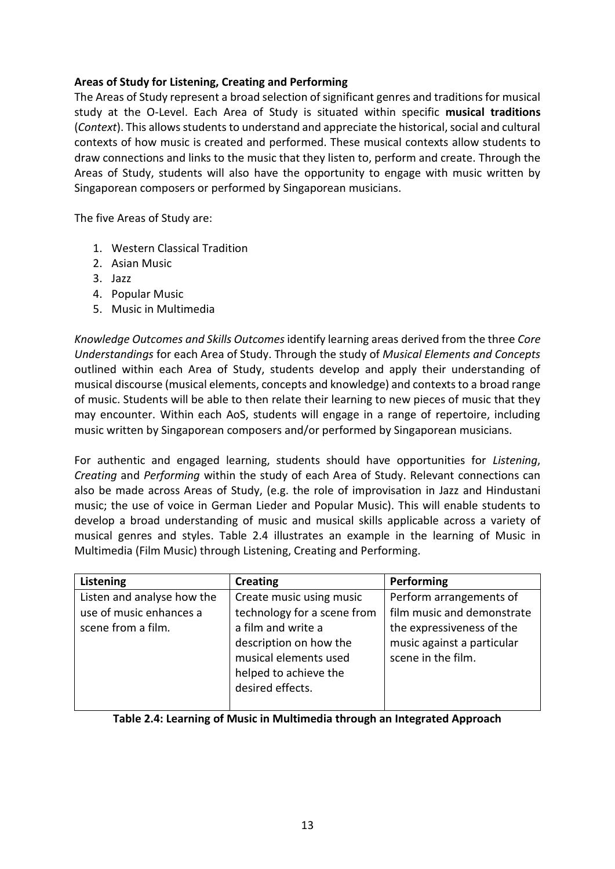#### **Areas of Study for Listening, Creating and Performing**

The Areas of Study represent a broad selection of significant genres and traditions for musical study at the O-Level. Each Area of Study is situated within specific **musical traditions** (*Context*). This allows students to understand and appreciate the historical, social and cultural contexts of how music is created and performed. These musical contexts allow students to draw connections and links to the music that they listen to, perform and create. Through the Areas of Study, students will also have the opportunity to engage with music written by Singaporean composers or performed by Singaporean musicians.

The five Areas of Study are:

- 1. Western Classical Tradition
- 2. Asian Music
- 3. Jazz
- 4. Popular Music
- 5. Music in Multimedia

*Knowledge Outcomes and Skills Outcomes* identify learning areas derived from the three *Core Understandings* for each Area of Study. Through the study of *Musical Elements and Concepts* outlined within each Area of Study, students develop and apply their understanding of musical discourse (musical elements, concepts and knowledge) and contexts to a broad range of music. Students will be able to then relate their learning to new pieces of music that they may encounter. Within each AoS, students will engage in a range of repertoire, including music written by Singaporean composers and/or performed by Singaporean musicians.

For authentic and engaged learning, students should have opportunities for *Listening*, *Creating* and *Performing* within the study of each Area of Study. Relevant connections can also be made across Areas of Study, (e.g. the role of improvisation in Jazz and Hindustani music; the use of voice in German Lieder and Popular Music). This will enable students to develop a broad understanding of music and musical skills applicable across a variety of musical genres and styles. Table 2.4 illustrates an example in the learning of Music in Multimedia (Film Music) through Listening, Creating and Performing.

| Listening                  | <b>Creating</b>             | Performing                 |
|----------------------------|-----------------------------|----------------------------|
| Listen and analyse how the | Create music using music    | Perform arrangements of    |
| use of music enhances a    | technology for a scene from | film music and demonstrate |
| scene from a film.         | a film and write a          | the expressiveness of the  |
|                            | description on how the      | music against a particular |
|                            | musical elements used       | scene in the film.         |
|                            | helped to achieve the       |                            |
|                            | desired effects.            |                            |
|                            |                             |                            |

#### **Table 2.4: Learning of Music in Multimedia through an Integrated Approach**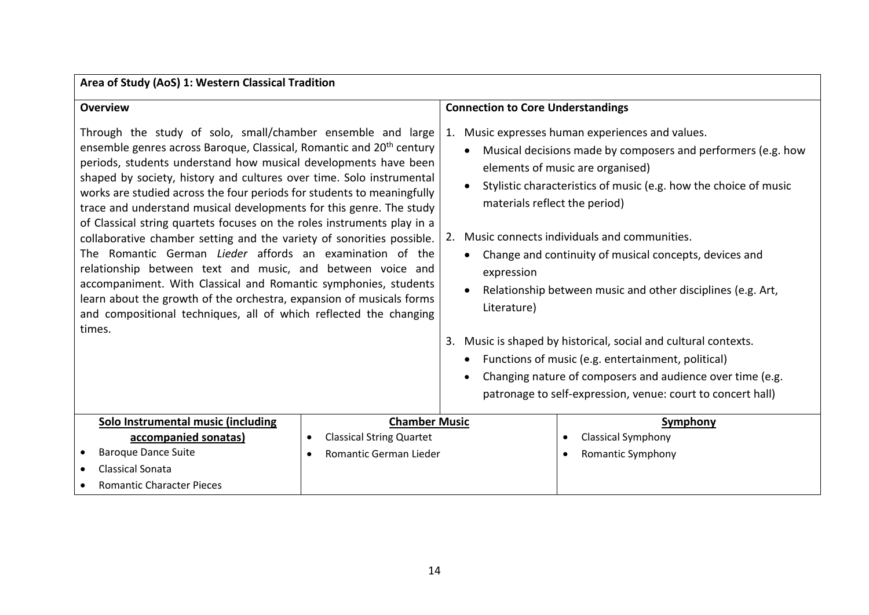| Area of Study (AoS) 1: Western Classical Tradition                                                                                                                                                                                                                                                                                                                                                                                                                                                                                                                                                                                                                                                                                                                                                                                                                                                                                                         |                                              |                                                                                                                                                                                                                                                                                                                                                                                                                                                                                                                                                                                                                                            |                                                                                                                          |
|------------------------------------------------------------------------------------------------------------------------------------------------------------------------------------------------------------------------------------------------------------------------------------------------------------------------------------------------------------------------------------------------------------------------------------------------------------------------------------------------------------------------------------------------------------------------------------------------------------------------------------------------------------------------------------------------------------------------------------------------------------------------------------------------------------------------------------------------------------------------------------------------------------------------------------------------------------|----------------------------------------------|--------------------------------------------------------------------------------------------------------------------------------------------------------------------------------------------------------------------------------------------------------------------------------------------------------------------------------------------------------------------------------------------------------------------------------------------------------------------------------------------------------------------------------------------------------------------------------------------------------------------------------------------|--------------------------------------------------------------------------------------------------------------------------|
| <b>Overview</b>                                                                                                                                                                                                                                                                                                                                                                                                                                                                                                                                                                                                                                                                                                                                                                                                                                                                                                                                            |                                              | <b>Connection to Core Understandings</b>                                                                                                                                                                                                                                                                                                                                                                                                                                                                                                                                                                                                   |                                                                                                                          |
| Through the study of solo, small/chamber ensemble and large<br>ensemble genres across Baroque, Classical, Romantic and 20 <sup>th</sup> century<br>periods, students understand how musical developments have been<br>shaped by society, history and cultures over time. Solo instrumental<br>works are studied across the four periods for students to meaningfully<br>trace and understand musical developments for this genre. The study<br>of Classical string quartets focuses on the roles instruments play in a<br>collaborative chamber setting and the variety of sonorities possible.<br>The Romantic German <i>Lieder</i> affords an examination of the<br>relationship between text and music, and between voice and<br>accompaniment. With Classical and Romantic symphonies, students<br>learn about the growth of the orchestra, expansion of musicals forms<br>and compositional techniques, all of which reflected the changing<br>times. |                                              | Music expresses human experiences and values.<br>1.<br>Musical decisions made by composers and performers (e.g. how<br>$\bullet$<br>elements of music are organised)<br>Stylistic characteristics of music (e.g. how the choice of music<br>materials reflect the period)<br>Music connects individuals and communities.<br>2.<br>Change and continuity of musical concepts, devices and<br>$\bullet$<br>expression<br>Relationship between music and other disciplines (e.g. Art,<br>Literature)<br>Music is shaped by historical, social and cultural contexts.<br>3.<br>Functions of music (e.g. entertainment, political)<br>$\bullet$ |                                                                                                                          |
|                                                                                                                                                                                                                                                                                                                                                                                                                                                                                                                                                                                                                                                                                                                                                                                                                                                                                                                                                            |                                              | $\bullet$                                                                                                                                                                                                                                                                                                                                                                                                                                                                                                                                                                                                                                  | Changing nature of composers and audience over time (e.g.<br>patronage to self-expression, venue: court to concert hall) |
| Solo Instrumental music (including                                                                                                                                                                                                                                                                                                                                                                                                                                                                                                                                                                                                                                                                                                                                                                                                                                                                                                                         | <b>Chamber Music</b>                         |                                                                                                                                                                                                                                                                                                                                                                                                                                                                                                                                                                                                                                            | Symphony                                                                                                                 |
| accompanied sonatas)                                                                                                                                                                                                                                                                                                                                                                                                                                                                                                                                                                                                                                                                                                                                                                                                                                                                                                                                       | <b>Classical String Quartet</b><br>$\bullet$ |                                                                                                                                                                                                                                                                                                                                                                                                                                                                                                                                                                                                                                            | <b>Classical Symphony</b>                                                                                                |
| <b>Baroque Dance Suite</b>                                                                                                                                                                                                                                                                                                                                                                                                                                                                                                                                                                                                                                                                                                                                                                                                                                                                                                                                 | Romantic German Lieder<br>$\bullet$          |                                                                                                                                                                                                                                                                                                                                                                                                                                                                                                                                                                                                                                            | <b>Romantic Symphony</b>                                                                                                 |
| <b>Classical Sonata</b>                                                                                                                                                                                                                                                                                                                                                                                                                                                                                                                                                                                                                                                                                                                                                                                                                                                                                                                                    |                                              |                                                                                                                                                                                                                                                                                                                                                                                                                                                                                                                                                                                                                                            |                                                                                                                          |
| <b>Romantic Character Pieces</b>                                                                                                                                                                                                                                                                                                                                                                                                                                                                                                                                                                                                                                                                                                                                                                                                                                                                                                                           |                                              |                                                                                                                                                                                                                                                                                                                                                                                                                                                                                                                                                                                                                                            |                                                                                                                          |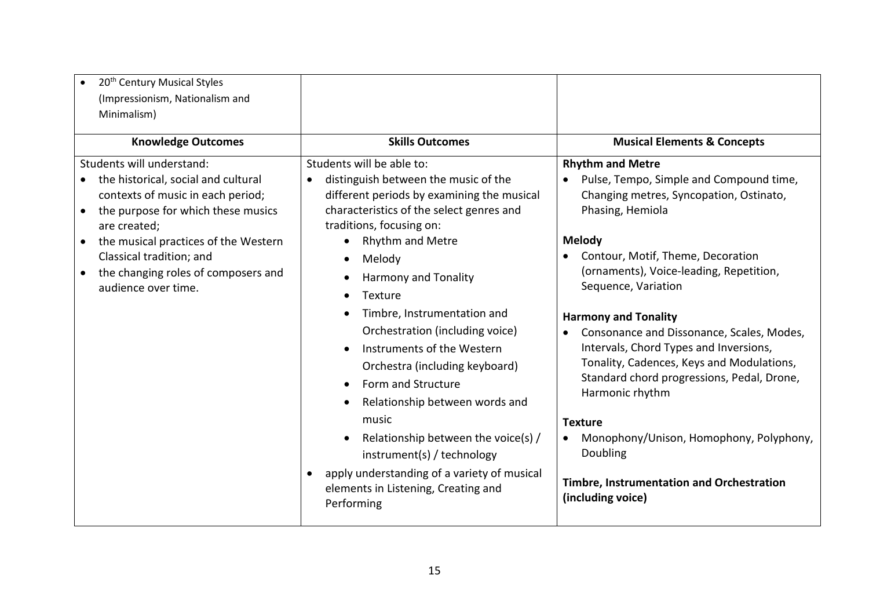| 20 <sup>th</sup> Century Musical Styles<br>$\bullet$<br>(Impressionism, Nationalism and<br>Minimalism)<br><b>Knowledge Outcomes</b>                                                                                                                                                                                                  | <b>Skills Outcomes</b>                                                                                                                                                                                                                                                                                                                                                                                                                                                                                                                                                                                                                                                             | <b>Musical Elements &amp; Concepts</b>                                                                                                                                                                                                                                                                                                                                                                                                                                                                                                                                                                                                         |
|--------------------------------------------------------------------------------------------------------------------------------------------------------------------------------------------------------------------------------------------------------------------------------------------------------------------------------------|------------------------------------------------------------------------------------------------------------------------------------------------------------------------------------------------------------------------------------------------------------------------------------------------------------------------------------------------------------------------------------------------------------------------------------------------------------------------------------------------------------------------------------------------------------------------------------------------------------------------------------------------------------------------------------|------------------------------------------------------------------------------------------------------------------------------------------------------------------------------------------------------------------------------------------------------------------------------------------------------------------------------------------------------------------------------------------------------------------------------------------------------------------------------------------------------------------------------------------------------------------------------------------------------------------------------------------------|
| Students will understand:<br>the historical, social and cultural<br>$\bullet$<br>contexts of music in each period;<br>the purpose for which these musics<br>$\bullet$<br>are created;<br>the musical practices of the Western<br>$\bullet$<br>Classical tradition; and<br>the changing roles of composers and<br>audience over time. | Students will be able to:<br>distinguish between the music of the<br>$\bullet$<br>different periods by examining the musical<br>characteristics of the select genres and<br>traditions, focusing on:<br>Rhythm and Metre<br>Melody<br><b>Harmony and Tonality</b><br>Texture<br>$\bullet$<br>Timbre, Instrumentation and<br>Orchestration (including voice)<br>Instruments of the Western<br>Orchestra (including keyboard)<br>Form and Structure<br>Relationship between words and<br>music<br>Relationship between the voice(s) /<br>instrument(s) / technology<br>apply understanding of a variety of musical<br>$\bullet$<br>elements in Listening, Creating and<br>Performing | <b>Rhythm and Metre</b><br>Pulse, Tempo, Simple and Compound time,<br>$\bullet$<br>Changing metres, Syncopation, Ostinato,<br>Phasing, Hemiola<br>Melody<br>Contour, Motif, Theme, Decoration<br>(ornaments), Voice-leading, Repetition,<br>Sequence, Variation<br><b>Harmony and Tonality</b><br>Consonance and Dissonance, Scales, Modes,<br>Intervals, Chord Types and Inversions,<br>Tonality, Cadences, Keys and Modulations,<br>Standard chord progressions, Pedal, Drone,<br>Harmonic rhythm<br><b>Texture</b><br>Monophony/Unison, Homophony, Polyphony,<br>Doubling<br>Timbre, Instrumentation and Orchestration<br>(including voice) |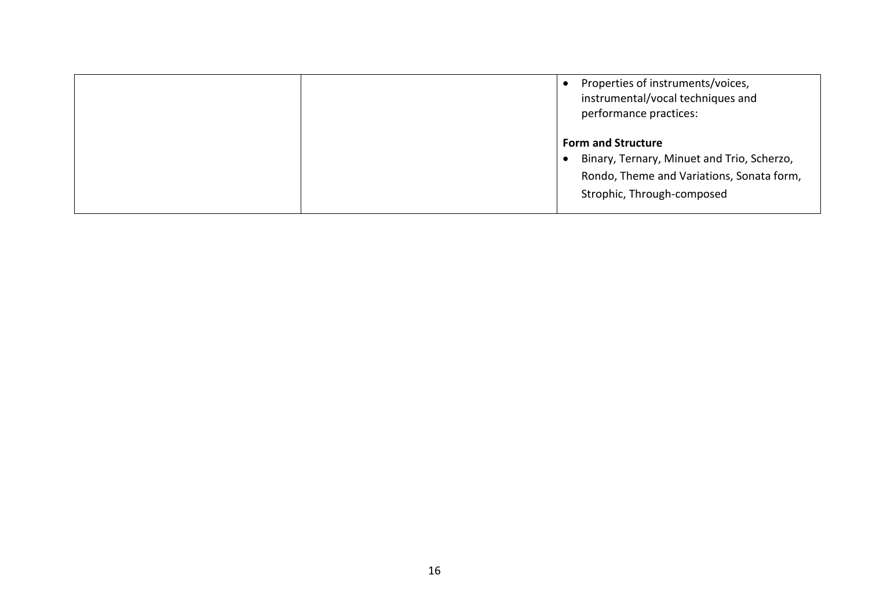|  | Properties of instruments/voices,<br>instrumental/vocal techniques and<br>performance practices:                                                   |
|--|----------------------------------------------------------------------------------------------------------------------------------------------------|
|  | <b>Form and Structure</b><br>Binary, Ternary, Minuet and Trio, Scherzo,<br>Rondo, Theme and Variations, Sonata form,<br>Strophic, Through-composed |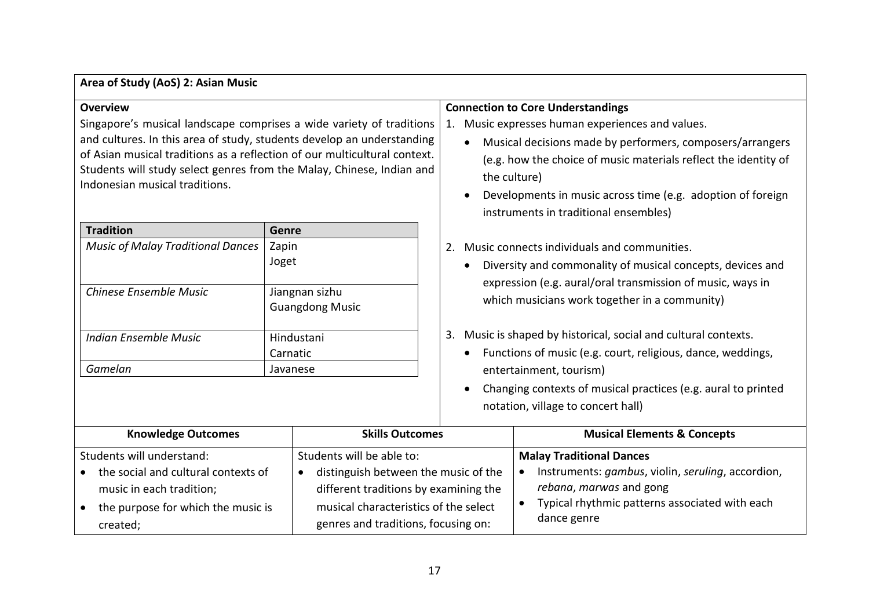| Area of Study (AoS) 2: Asian Music                                                                                                                                                                                                                                                                                                                        |                                          |                                                                                                                                                                                                                                                                                                                                                                      |  |  |
|-----------------------------------------------------------------------------------------------------------------------------------------------------------------------------------------------------------------------------------------------------------------------------------------------------------------------------------------------------------|------------------------------------------|----------------------------------------------------------------------------------------------------------------------------------------------------------------------------------------------------------------------------------------------------------------------------------------------------------------------------------------------------------------------|--|--|
| <b>Overview</b><br>Singapore's musical landscape comprises a wide variety of traditions<br>and cultures. In this area of study, students develop an understanding<br>of Asian musical traditions as a reflection of our multicultural context.<br>Students will study select genres from the Malay, Chinese, Indian and<br>Indonesian musical traditions. |                                          | <b>Connection to Core Understandings</b><br>Music expresses human experiences and values.<br>1.<br>Musical decisions made by performers, composers/arrangers<br>$\bullet$<br>(e.g. how the choice of music materials reflect the identity of<br>the culture)<br>Developments in music across time (e.g. adoption of foreign<br>instruments in traditional ensembles) |  |  |
| <b>Tradition</b>                                                                                                                                                                                                                                                                                                                                          | Genre                                    |                                                                                                                                                                                                                                                                                                                                                                      |  |  |
| <b>Music of Malay Traditional Dances</b>                                                                                                                                                                                                                                                                                                                  | Zapin                                    | Music connects individuals and communities.<br>2.                                                                                                                                                                                                                                                                                                                    |  |  |
|                                                                                                                                                                                                                                                                                                                                                           | Joget                                    | Diversity and commonality of musical concepts, devices and                                                                                                                                                                                                                                                                                                           |  |  |
|                                                                                                                                                                                                                                                                                                                                                           |                                          | expression (e.g. aural/oral transmission of music, ways in                                                                                                                                                                                                                                                                                                           |  |  |
| Chinese Ensemble Music                                                                                                                                                                                                                                                                                                                                    | Jiangnan sizhu<br><b>Guangdong Music</b> | which musicians work together in a community)                                                                                                                                                                                                                                                                                                                        |  |  |
|                                                                                                                                                                                                                                                                                                                                                           |                                          |                                                                                                                                                                                                                                                                                                                                                                      |  |  |
| <b>Indian Ensemble Music</b>                                                                                                                                                                                                                                                                                                                              | Hindustani                               | Music is shaped by historical, social and cultural contexts.<br>3.                                                                                                                                                                                                                                                                                                   |  |  |
|                                                                                                                                                                                                                                                                                                                                                           | Carnatic                                 | Functions of music (e.g. court, religious, dance, weddings,<br>$\bullet$                                                                                                                                                                                                                                                                                             |  |  |
| Gamelan                                                                                                                                                                                                                                                                                                                                                   | Javanese                                 | entertainment, tourism)                                                                                                                                                                                                                                                                                                                                              |  |  |
|                                                                                                                                                                                                                                                                                                                                                           |                                          | Changing contexts of musical practices (e.g. aural to printed                                                                                                                                                                                                                                                                                                        |  |  |
|                                                                                                                                                                                                                                                                                                                                                           |                                          | notation, village to concert hall)                                                                                                                                                                                                                                                                                                                                   |  |  |
|                                                                                                                                                                                                                                                                                                                                                           |                                          |                                                                                                                                                                                                                                                                                                                                                                      |  |  |
| <b>Knowledge Outcomes</b><br><b>Skills Outcomes</b>                                                                                                                                                                                                                                                                                                       |                                          | <b>Musical Elements &amp; Concepts</b>                                                                                                                                                                                                                                                                                                                               |  |  |
| Students will understand:<br>Students will be able to:                                                                                                                                                                                                                                                                                                    |                                          | <b>Malay Traditional Dances</b>                                                                                                                                                                                                                                                                                                                                      |  |  |
| the social and cultural contexts of<br>distinguish between the music of the                                                                                                                                                                                                                                                                               |                                          | Instruments: gambus, violin, seruling, accordion,                                                                                                                                                                                                                                                                                                                    |  |  |
| different traditions by examining the<br>music in each tradition;                                                                                                                                                                                                                                                                                         |                                          | rebana, marwas and gong                                                                                                                                                                                                                                                                                                                                              |  |  |
| musical characteristics of the select<br>the purpose for which the music is<br>$\bullet$                                                                                                                                                                                                                                                                  |                                          | Typical rhythmic patterns associated with each<br>$\bullet$                                                                                                                                                                                                                                                                                                          |  |  |
| genres and traditions, focusing on:<br>created;                                                                                                                                                                                                                                                                                                           |                                          | dance genre                                                                                                                                                                                                                                                                                                                                                          |  |  |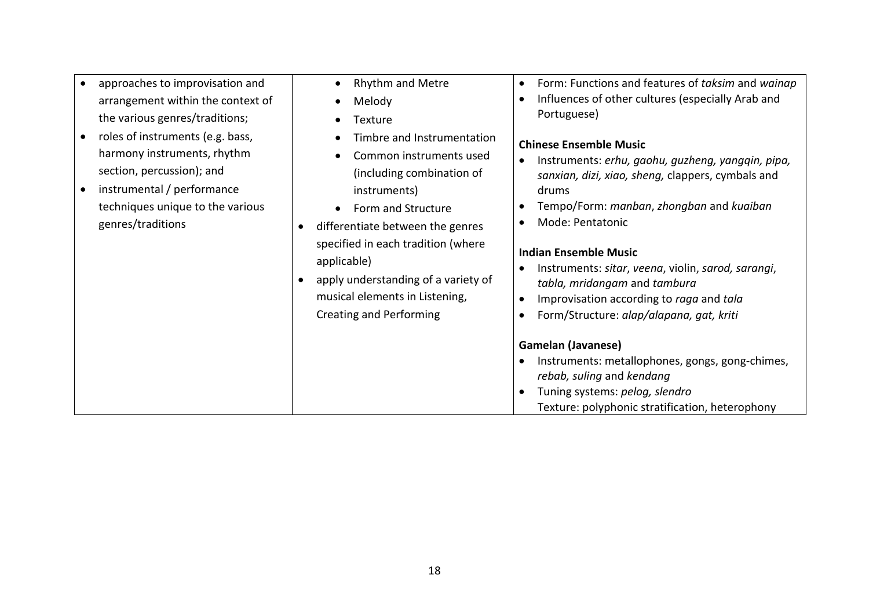| arrangement within the context of<br>the various genres/traditions;<br>roles of instruments (e.g. bass,<br>$\bullet$<br>harmony instruments, rhythm<br>section, percussion); and<br>instrumental / performance<br>$\bullet$<br>techniques unique to the various | Melody<br>Texture<br>Timbre and Instrumentation<br>Common instruments used<br>(including combination of<br>instruments)<br>Form and Structure                                                                 | Influences of other cultures (especially Arab and<br>Portuguese)<br><b>Chinese Ensemble Music</b><br>Instruments: erhu, gaohu, guzheng, yangqin, pipa,<br>$\bullet$<br>sanxian, dizi, xiao, sheng, clappers, cymbals and<br>drums<br>Tempo/Form: manban, zhongban and kuaiban<br>$\bullet$                                                                                                                                                                                                                     |
|-----------------------------------------------------------------------------------------------------------------------------------------------------------------------------------------------------------------------------------------------------------------|---------------------------------------------------------------------------------------------------------------------------------------------------------------------------------------------------------------|----------------------------------------------------------------------------------------------------------------------------------------------------------------------------------------------------------------------------------------------------------------------------------------------------------------------------------------------------------------------------------------------------------------------------------------------------------------------------------------------------------------|
| genres/traditions                                                                                                                                                                                                                                               | differentiate between the genres<br>$\bullet$<br>specified in each tradition (where<br>applicable)<br>apply understanding of a variety of<br>musical elements in Listening,<br><b>Creating and Performing</b> | Mode: Pentatonic<br>$\bullet$<br><b>Indian Ensemble Music</b><br>Instruments: sitar, veena, violin, sarod, sarangi,<br>$\bullet$<br>tabla, mridangam and tambura<br>Improvisation according to raga and tala<br>$\bullet$<br>Form/Structure: alap/alapana, gat, kriti<br>$\bullet$<br><b>Gamelan (Javanese)</b><br>Instruments: metallophones, gongs, gong-chimes,<br>$\bullet$<br>rebab, suling and kendang<br>Tuning systems: pelog, slendro<br>$\bullet$<br>Texture: polyphonic stratification, heterophony |

• Rhythm and Metre

approaches to improvisation and

18

- Form: Functions and features of *taksim* and *wainap*
- Influences of other cultures (especially Arab and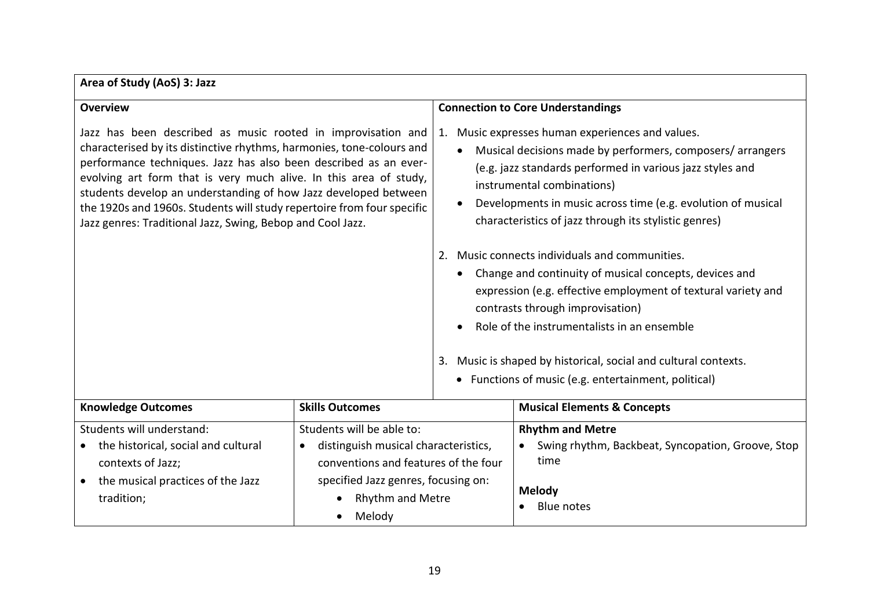### **Area of Study (AoS) 3: Jazz**

| <b>Overview</b>                                                                                                                                                                                                                                                                                                                                                                                                                                                                           |                                                                                                                                                                                       |                                                                                                                                                                                                                                                                                                                                                                                                                                                                                                                                                                                                                                                                                                                                                                        | <b>Connection to Core Understandings</b>                                                                                   |
|-------------------------------------------------------------------------------------------------------------------------------------------------------------------------------------------------------------------------------------------------------------------------------------------------------------------------------------------------------------------------------------------------------------------------------------------------------------------------------------------|---------------------------------------------------------------------------------------------------------------------------------------------------------------------------------------|------------------------------------------------------------------------------------------------------------------------------------------------------------------------------------------------------------------------------------------------------------------------------------------------------------------------------------------------------------------------------------------------------------------------------------------------------------------------------------------------------------------------------------------------------------------------------------------------------------------------------------------------------------------------------------------------------------------------------------------------------------------------|----------------------------------------------------------------------------------------------------------------------------|
| Jazz has been described as music rooted in improvisation and<br>characterised by its distinctive rhythms, harmonies, tone-colours and<br>performance techniques. Jazz has also been described as an ever-<br>evolving art form that is very much alive. In this area of study,<br>students develop an understanding of how Jazz developed between<br>the 1920s and 1960s. Students will study repertoire from four specific<br>Jazz genres: Traditional Jazz, Swing, Bebop and Cool Jazz. |                                                                                                                                                                                       | 1. Music expresses human experiences and values.<br>Musical decisions made by performers, composers/arrangers<br>$\bullet$<br>(e.g. jazz standards performed in various jazz styles and<br>instrumental combinations)<br>Developments in music across time (e.g. evolution of musical<br>characteristics of jazz through its stylistic genres)<br>Music connects individuals and communities.<br>2.<br>Change and continuity of musical concepts, devices and<br>$\bullet$<br>expression (e.g. effective employment of textural variety and<br>contrasts through improvisation)<br>Role of the instrumentalists in an ensemble<br>$\bullet$<br>3. Music is shaped by historical, social and cultural contexts.<br>• Functions of music (e.g. entertainment, political) |                                                                                                                            |
| <b>Knowledge Outcomes</b>                                                                                                                                                                                                                                                                                                                                                                                                                                                                 | <b>Skills Outcomes</b>                                                                                                                                                                |                                                                                                                                                                                                                                                                                                                                                                                                                                                                                                                                                                                                                                                                                                                                                                        | <b>Musical Elements &amp; Concepts</b>                                                                                     |
| Students will understand:<br>the historical, social and cultural<br>contexts of Jazz;<br>the musical practices of the Jazz<br>$\bullet$<br>tradition;                                                                                                                                                                                                                                                                                                                                     | Students will be able to:<br>distinguish musical characteristics,<br>conventions and features of the four<br>specified Jazz genres, focusing on:<br><b>Rhythm and Metre</b><br>Melody |                                                                                                                                                                                                                                                                                                                                                                                                                                                                                                                                                                                                                                                                                                                                                                        | <b>Rhythm and Metre</b><br>Swing rhythm, Backbeat, Syncopation, Groove, Stop<br>time<br><b>Melody</b><br><b>Blue notes</b> |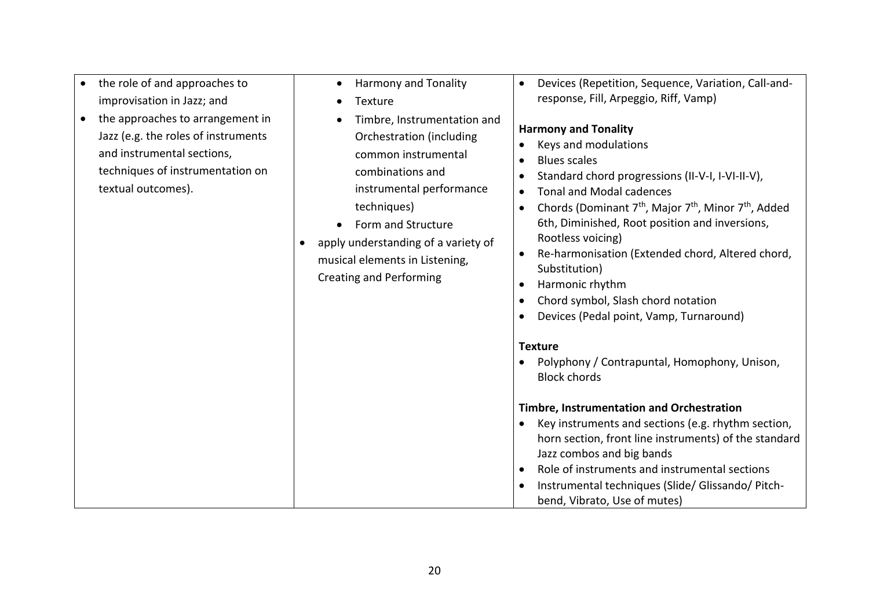| the role of and approaches to<br>improvisation in Jazz; and                                                                                                                  | <b>Harmony and Tonality</b><br>$\bullet$<br>Texture                                                                                                                                                                                                                                         | Devices (Repetition, Sequence, Variation, Call-and-<br>$\bullet$<br>response, Fill, Arpeggio, Riff, Vamp)                                                                                                                                                                                                                                                                                                                                                                                                                                                                                                                                                                                                                                                                                                                                                                                                                                                                                        |
|------------------------------------------------------------------------------------------------------------------------------------------------------------------------------|---------------------------------------------------------------------------------------------------------------------------------------------------------------------------------------------------------------------------------------------------------------------------------------------|--------------------------------------------------------------------------------------------------------------------------------------------------------------------------------------------------------------------------------------------------------------------------------------------------------------------------------------------------------------------------------------------------------------------------------------------------------------------------------------------------------------------------------------------------------------------------------------------------------------------------------------------------------------------------------------------------------------------------------------------------------------------------------------------------------------------------------------------------------------------------------------------------------------------------------------------------------------------------------------------------|
| the approaches to arrangement in<br>$\bullet$<br>Jazz (e.g. the roles of instruments<br>and instrumental sections,<br>techniques of instrumentation on<br>textual outcomes). | Timbre, Instrumentation and<br>Orchestration (including<br>common instrumental<br>combinations and<br>instrumental performance<br>techniques)<br>Form and Structure<br>apply understanding of a variety of<br>$\bullet$<br>musical elements in Listening,<br><b>Creating and Performing</b> | <b>Harmony and Tonality</b><br>Keys and modulations<br><b>Blues scales</b><br>$\bullet$<br>Standard chord progressions (II-V-I, I-VI-II-V),<br><b>Tonal and Modal cadences</b><br>Chords (Dominant 7 <sup>th</sup> , Major 7 <sup>th</sup> , Minor 7 <sup>th</sup> , Added<br>$\bullet$<br>6th, Diminished, Root position and inversions,<br>Rootless voicing)<br>Re-harmonisation (Extended chord, Altered chord,<br>Substitution)<br>Harmonic rhythm<br>$\bullet$<br>Chord symbol, Slash chord notation<br>$\bullet$<br>Devices (Pedal point, Vamp, Turnaround)<br><b>Texture</b><br>Polyphony / Contrapuntal, Homophony, Unison,<br><b>Block chords</b><br><b>Timbre, Instrumentation and Orchestration</b><br>Key instruments and sections (e.g. rhythm section,<br>horn section, front line instruments) of the standard<br>Jazz combos and big bands<br>Role of instruments and instrumental sections<br>Instrumental techniques (Slide/ Glissando/ Pitch-<br>bend, Vibrato, Use of mutes) |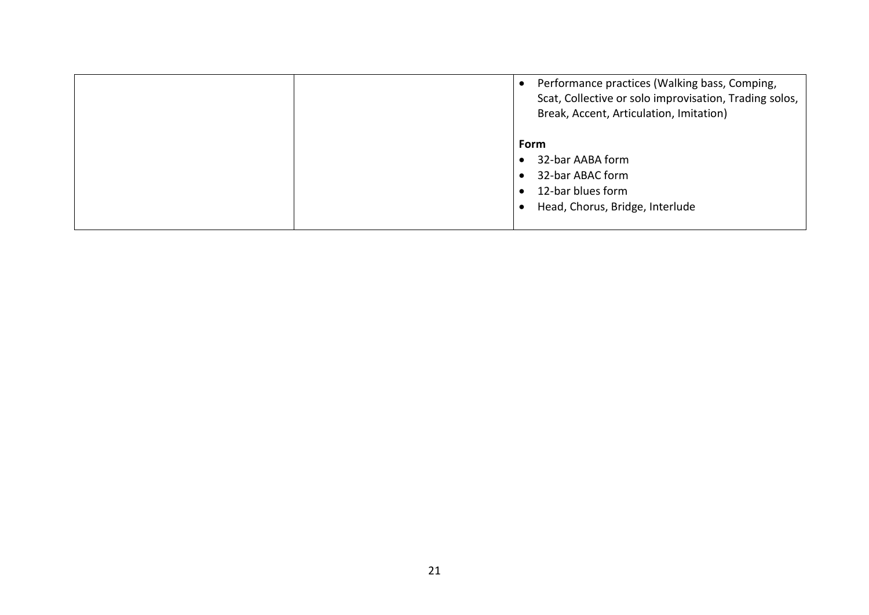|  | Performance practices (Walking bass, Comping,<br>Scat, Collective or solo improvisation, Trading solos,<br>Break, Accent, Articulation, Imitation) |
|--|----------------------------------------------------------------------------------------------------------------------------------------------------|
|  | Form<br>32-bar AABA form<br>32-bar ABAC form<br>12-bar blues form<br>Head, Chorus, Bridge, Interlude                                               |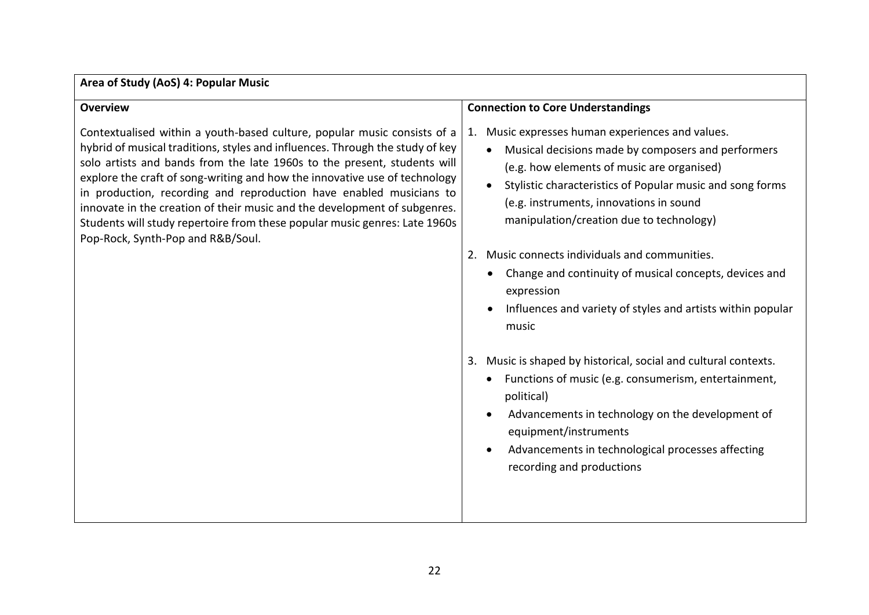### **Area of Study (AoS) 4: Popular Music**

| <b>Overview</b>                                                                                                                                                                                                                                                                                                                                                                                                                                                                                                                                                                            |                                                                                                                                                                                                                                                                                                                          |
|--------------------------------------------------------------------------------------------------------------------------------------------------------------------------------------------------------------------------------------------------------------------------------------------------------------------------------------------------------------------------------------------------------------------------------------------------------------------------------------------------------------------------------------------------------------------------------------------|--------------------------------------------------------------------------------------------------------------------------------------------------------------------------------------------------------------------------------------------------------------------------------------------------------------------------|
|                                                                                                                                                                                                                                                                                                                                                                                                                                                                                                                                                                                            | <b>Connection to Core Understandings</b>                                                                                                                                                                                                                                                                                 |
| Contextualised within a youth-based culture, popular music consists of a<br>hybrid of musical traditions, styles and influences. Through the study of key<br>solo artists and bands from the late 1960s to the present, students will<br>explore the craft of song-writing and how the innovative use of technology<br>in production, recording and reproduction have enabled musicians to<br>innovate in the creation of their music and the development of subgenres.<br>Students will study repertoire from these popular music genres: Late 1960s<br>Pop-Rock, Synth-Pop and R&B/Soul. | Music expresses human experiences and values.<br>1.<br>Musical decisions made by composers and performers<br>(e.g. how elements of music are organised)<br>Stylistic characteristics of Popular music and song forms<br>$\bullet$<br>(e.g. instruments, innovations in sound<br>manipulation/creation due to technology) |
|                                                                                                                                                                                                                                                                                                                                                                                                                                                                                                                                                                                            | Music connects individuals and communities.<br>2.<br>Change and continuity of musical concepts, devices and<br>expression<br>Influences and variety of styles and artists within popular<br>music                                                                                                                        |
|                                                                                                                                                                                                                                                                                                                                                                                                                                                                                                                                                                                            | Music is shaped by historical, social and cultural contexts.<br>3.<br>Functions of music (e.g. consumerism, entertainment,<br>political)<br>Advancements in technology on the development of<br>equipment/instruments<br>Advancements in technological processes affecting<br>recording and productions                  |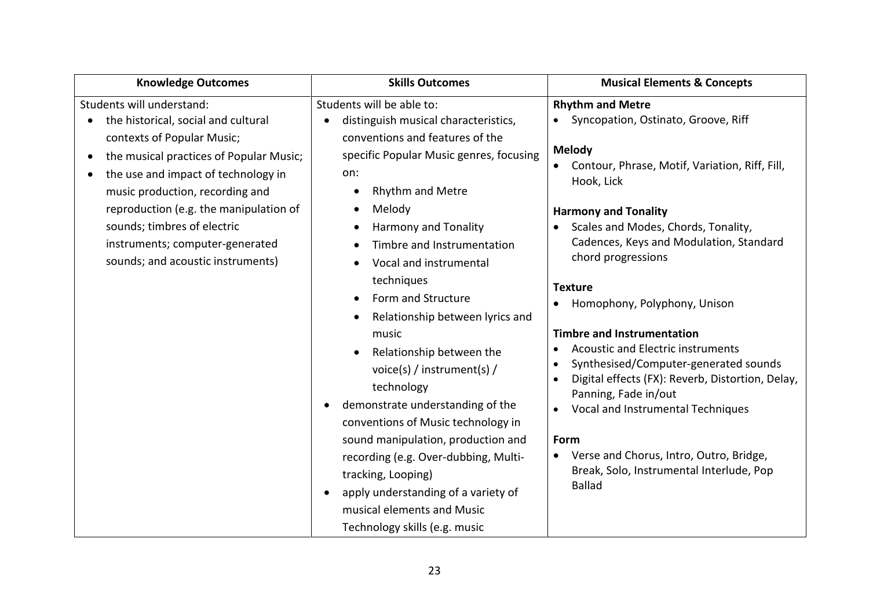| <b>Knowledge Outcomes</b>                                                                                                                                                                                                                                                                                                                                                                      | <b>Skills Outcomes</b>                                                                                                                                                                                                                                                                                                                                                                                                                                                                                                                                                                                                                                                                                                                                                                                                                | <b>Musical Elements &amp; Concepts</b>                                                                                                                                                                                                                                                                                                                                                                                                                                                                                                                                                                                                                                                                           |
|------------------------------------------------------------------------------------------------------------------------------------------------------------------------------------------------------------------------------------------------------------------------------------------------------------------------------------------------------------------------------------------------|---------------------------------------------------------------------------------------------------------------------------------------------------------------------------------------------------------------------------------------------------------------------------------------------------------------------------------------------------------------------------------------------------------------------------------------------------------------------------------------------------------------------------------------------------------------------------------------------------------------------------------------------------------------------------------------------------------------------------------------------------------------------------------------------------------------------------------------|------------------------------------------------------------------------------------------------------------------------------------------------------------------------------------------------------------------------------------------------------------------------------------------------------------------------------------------------------------------------------------------------------------------------------------------------------------------------------------------------------------------------------------------------------------------------------------------------------------------------------------------------------------------------------------------------------------------|
| Students will understand:<br>the historical, social and cultural<br>$\bullet$<br>contexts of Popular Music;<br>the musical practices of Popular Music;<br>$\bullet$<br>the use and impact of technology in<br>music production, recording and<br>reproduction (e.g. the manipulation of<br>sounds; timbres of electric<br>instruments; computer-generated<br>sounds; and acoustic instruments) | Students will be able to:<br>distinguish musical characteristics,<br>conventions and features of the<br>specific Popular Music genres, focusing<br>on:<br>Rhythm and Metre<br>$\bullet$<br>Melody<br>$\bullet$<br>Harmony and Tonality<br>$\bullet$<br>Timbre and Instrumentation<br>$\bullet$<br>Vocal and instrumental<br>$\bullet$<br>techniques<br>Form and Structure<br>$\bullet$<br>Relationship between lyrics and<br>$\bullet$<br>music<br>Relationship between the<br>$\bullet$<br>voice(s) / instrument(s) /<br>technology<br>demonstrate understanding of the<br>$\bullet$<br>conventions of Music technology in<br>sound manipulation, production and<br>recording (e.g. Over-dubbing, Multi-<br>tracking, Looping)<br>apply understanding of a variety of<br>musical elements and Music<br>Technology skills (e.g. music | <b>Rhythm and Metre</b><br>Syncopation, Ostinato, Groove, Riff<br><b>Melody</b><br>Contour, Phrase, Motif, Variation, Riff, Fill,<br>Hook, Lick<br><b>Harmony and Tonality</b><br>Scales and Modes, Chords, Tonality,<br>Cadences, Keys and Modulation, Standard<br>chord progressions<br><b>Texture</b><br>Homophony, Polyphony, Unison<br><b>Timbre and Instrumentation</b><br><b>Acoustic and Electric instruments</b><br>Synthesised/Computer-generated sounds<br>$\bullet$<br>Digital effects (FX): Reverb, Distortion, Delay,<br>Panning, Fade in/out<br>Vocal and Instrumental Techniques<br>Form<br>Verse and Chorus, Intro, Outro, Bridge,<br>Break, Solo, Instrumental Interlude, Pop<br><b>Ballad</b> |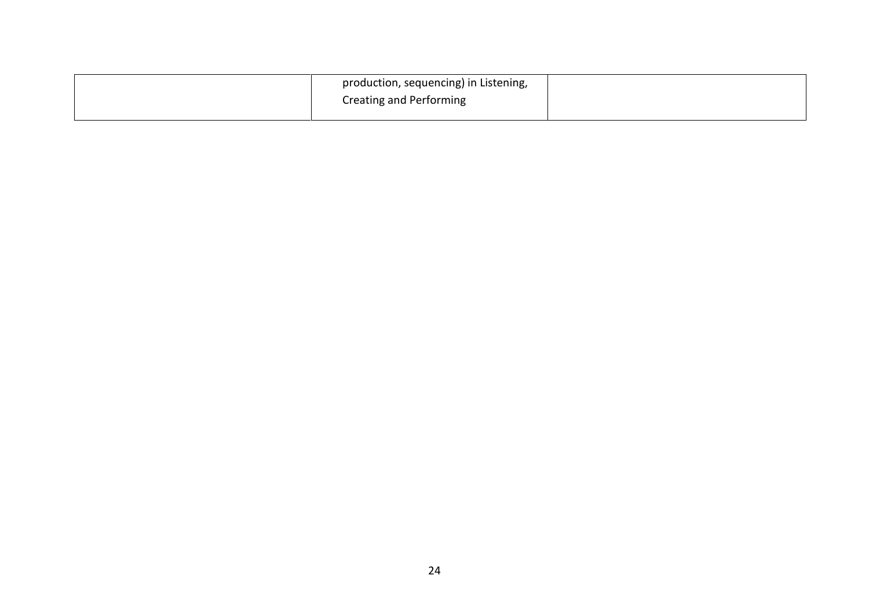| production, sequencing) in Listening, |  |
|---------------------------------------|--|
| Creating and Performing               |  |
|                                       |  |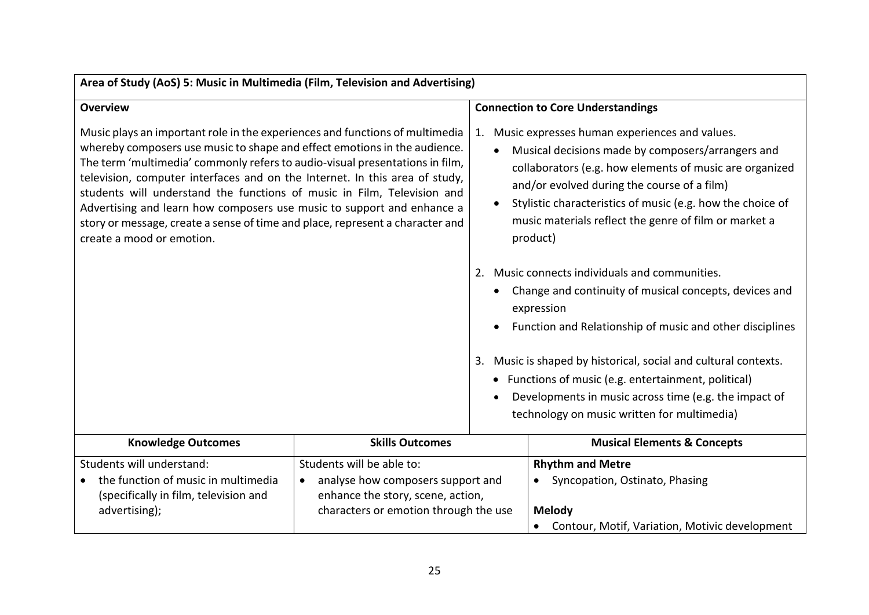| Area of Study (AoS) 5: Music in Multimedia (Film, Television and Advertising)                                                                                                                                                                                                                                                                                                                                                                                                                                                                                                               |                                                                                                                                                           |                                                                                                                                                                                                                                                                                                                                                       |                                                                                                                                                                                                                                                                                                                                                                                                                    |  |
|---------------------------------------------------------------------------------------------------------------------------------------------------------------------------------------------------------------------------------------------------------------------------------------------------------------------------------------------------------------------------------------------------------------------------------------------------------------------------------------------------------------------------------------------------------------------------------------------|-----------------------------------------------------------------------------------------------------------------------------------------------------------|-------------------------------------------------------------------------------------------------------------------------------------------------------------------------------------------------------------------------------------------------------------------------------------------------------------------------------------------------------|--------------------------------------------------------------------------------------------------------------------------------------------------------------------------------------------------------------------------------------------------------------------------------------------------------------------------------------------------------------------------------------------------------------------|--|
| <b>Overview</b>                                                                                                                                                                                                                                                                                                                                                                                                                                                                                                                                                                             |                                                                                                                                                           |                                                                                                                                                                                                                                                                                                                                                       | <b>Connection to Core Understandings</b>                                                                                                                                                                                                                                                                                                                                                                           |  |
| Music plays an important role in the experiences and functions of multimedia<br>whereby composers use music to shape and effect emotions in the audience.<br>The term 'multimedia' commonly refers to audio-visual presentations in film,<br>television, computer interfaces and on the Internet. In this area of study,<br>students will understand the functions of music in Film, Television and<br>Advertising and learn how composers use music to support and enhance a<br>story or message, create a sense of time and place, represent a character and<br>create a mood or emotion. |                                                                                                                                                           | Music expresses human experiences and values.<br>1.<br>Musical decisions made by composers/arrangers and<br>collaborators (e.g. how elements of music are organized<br>and/or evolved during the course of a film)<br>Stylistic characteristics of music (e.g. how the choice of<br>music materials reflect the genre of film or market a<br>product) |                                                                                                                                                                                                                                                                                                                                                                                                                    |  |
|                                                                                                                                                                                                                                                                                                                                                                                                                                                                                                                                                                                             |                                                                                                                                                           | 2.                                                                                                                                                                                                                                                                                                                                                    | Music connects individuals and communities.<br>Change and continuity of musical concepts, devices and<br>expression<br>Function and Relationship of music and other disciplines<br>3. Music is shaped by historical, social and cultural contexts.<br>• Functions of music (e.g. entertainment, political)<br>Developments in music across time (e.g. the impact of<br>technology on music written for multimedia) |  |
| <b>Knowledge Outcomes</b>                                                                                                                                                                                                                                                                                                                                                                                                                                                                                                                                                                   | <b>Skills Outcomes</b>                                                                                                                                    |                                                                                                                                                                                                                                                                                                                                                       | <b>Musical Elements &amp; Concepts</b>                                                                                                                                                                                                                                                                                                                                                                             |  |
| Students will understand:<br>the function of music in multimedia<br>(specifically in film, television and<br>advertising);                                                                                                                                                                                                                                                                                                                                                                                                                                                                  | Students will be able to:<br>analyse how composers support and<br>$\bullet$<br>enhance the story, scene, action,<br>characters or emotion through the use |                                                                                                                                                                                                                                                                                                                                                       | <b>Rhythm and Metre</b><br>Syncopation, Ostinato, Phasing<br>Melody<br>• Contour, Motif, Variation, Motivic development                                                                                                                                                                                                                                                                                            |  |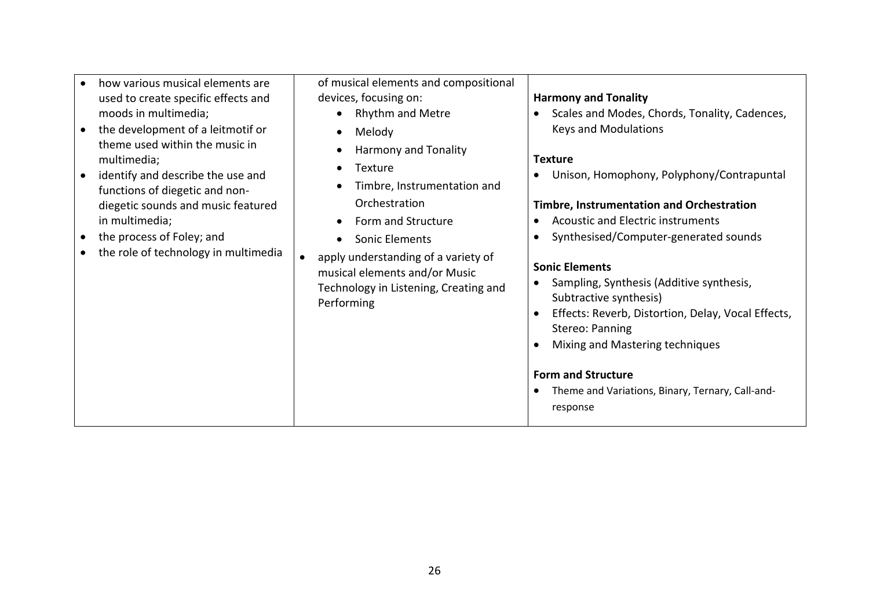| how various musical elements are     | of musical elements and compositional                                                                                       |                                                                                                                                                                                                                                   |
|--------------------------------------|-----------------------------------------------------------------------------------------------------------------------------|-----------------------------------------------------------------------------------------------------------------------------------------------------------------------------------------------------------------------------------|
| used to create specific effects and  | devices, focusing on:                                                                                                       | <b>Harmony and Tonality</b>                                                                                                                                                                                                       |
| moods in multimedia;                 | <b>Rhythm and Metre</b>                                                                                                     | Scales and Modes, Chords, Tonality, Cadences,                                                                                                                                                                                     |
| the development of a leitmotif or    | Melody<br>$\bullet$                                                                                                         | <b>Keys and Modulations</b>                                                                                                                                                                                                       |
| theme used within the music in       | Harmony and Tonality                                                                                                        |                                                                                                                                                                                                                                   |
| multimedia;                          | Texture<br>$\bullet$                                                                                                        | <b>Texture</b>                                                                                                                                                                                                                    |
| identify and describe the use and    | Timbre, Instrumentation and                                                                                                 | Unison, Homophony, Polyphony/Contrapuntal<br>$\bullet$                                                                                                                                                                            |
| functions of diegetic and non-       |                                                                                                                             |                                                                                                                                                                                                                                   |
| diegetic sounds and music featured   | Orchestration                                                                                                               | <b>Timbre, Instrumentation and Orchestration</b>                                                                                                                                                                                  |
| in multimedia;                       | Form and Structure<br>$\bullet$                                                                                             | Acoustic and Electric instruments<br>$\bullet$                                                                                                                                                                                    |
| the process of Foley; and            | Sonic Elements<br>$\bullet$                                                                                                 | Synthesised/Computer-generated sounds<br>$\bullet$                                                                                                                                                                                |
| the role of technology in multimedia | apply understanding of a variety of<br>musical elements and/or Music<br>Technology in Listening, Creating and<br>Performing | <b>Sonic Elements</b><br>Sampling, Synthesis (Additive synthesis,<br>Subtractive synthesis)<br>Effects: Reverb, Distortion, Delay, Vocal Effects,<br>$\bullet$<br>Stereo: Panning<br>Mixing and Mastering techniques<br>$\bullet$ |
|                                      |                                                                                                                             | <b>Form and Structure</b><br>Theme and Variations, Binary, Ternary, Call-and-<br>٠<br>response                                                                                                                                    |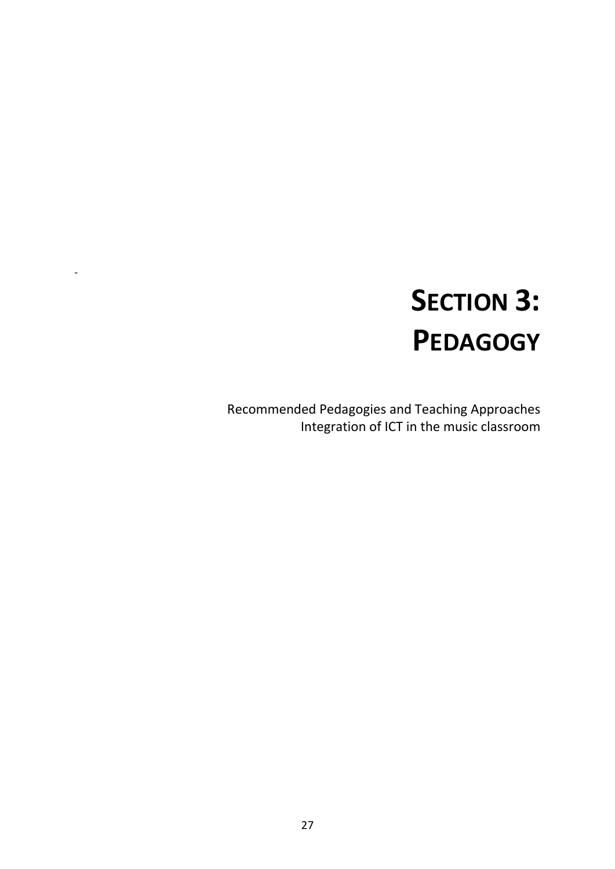# **SECTION 3: PEDAGOGY**

Recommended Pedagogies and Teaching Approaches Integration of ICT in the music classroom

-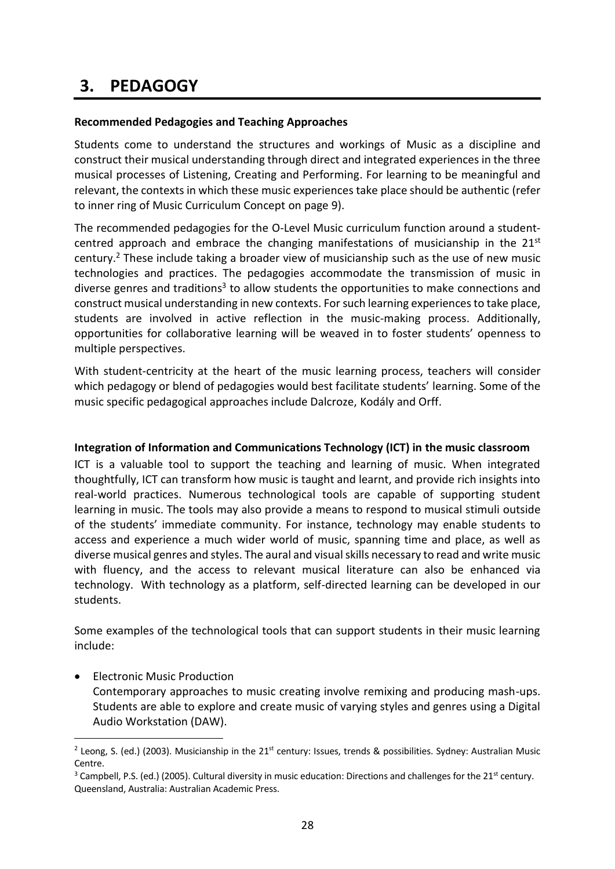## **3. PEDAGOGY**

1

#### **Recommended Pedagogies and Teaching Approaches**

Students come to understand the structures and workings of Music as a discipline and construct their musical understanding through direct and integrated experiences in the three musical processes of Listening, Creating and Performing. For learning to be meaningful and relevant, the contexts in which these music experiences take place should be authentic (refer to inner ring of Music Curriculum Concept on page 9).

The recommended pedagogies for the O-Level Music curriculum function around a studentcentred approach and embrace the changing manifestations of musicianship in the  $21<sup>st</sup>$ century. <sup>2</sup> These include taking a broader view of musicianship such as the use of new music technologies and practices. The pedagogies accommodate the transmission of music in diverse genres and traditions<sup>3</sup> to allow students the opportunities to make connections and construct musical understanding in new contexts. For such learning experiences to take place, students are involved in active reflection in the music-making process. Additionally, opportunities for collaborative learning will be weaved in to foster students' openness to multiple perspectives.

With student-centricity at the heart of the music learning process, teachers will consider which pedagogy or blend of pedagogies would best facilitate students' learning. Some of the music specific pedagogical approaches include Dalcroze, Kodály and Orff.

#### **Integration of Information and Communications Technology (ICT) in the music classroom**

ICT is a valuable tool to support the teaching and learning of music. When integrated thoughtfully, ICT can transform how music is taught and learnt, and provide rich insights into real-world practices. Numerous technological tools are capable of supporting student learning in music. The tools may also provide a means to respond to musical stimuli outside of the students' immediate community. For instance, technology may enable students to access and experience a much wider world of music, spanning time and place, as well as diverse musical genres and styles. The aural and visual skills necessary to read and write music with fluency, and the access to relevant musical literature can also be enhanced via technology. With technology as a platform, self-directed learning can be developed in our students.

Some examples of the technological tools that can support students in their music learning include:

**•** Electronic Music Production Contemporary approaches to music creating involve remixing and producing mash-ups. Students are able to explore and create music of varying styles and genres using a Digital Audio Workstation (DAW).

<sup>&</sup>lt;sup>2</sup> Leong, S. (ed.) (2003). Musicianship in the 21<sup>st</sup> century: Issues, trends & possibilities. Sydney: Australian Music Centre.

 $3$  Campbell, P.S. (ed.) (2005). Cultural diversity in music education: Directions and challenges for the 21<sup>st</sup> century. Queensland, Australia: Australian Academic Press.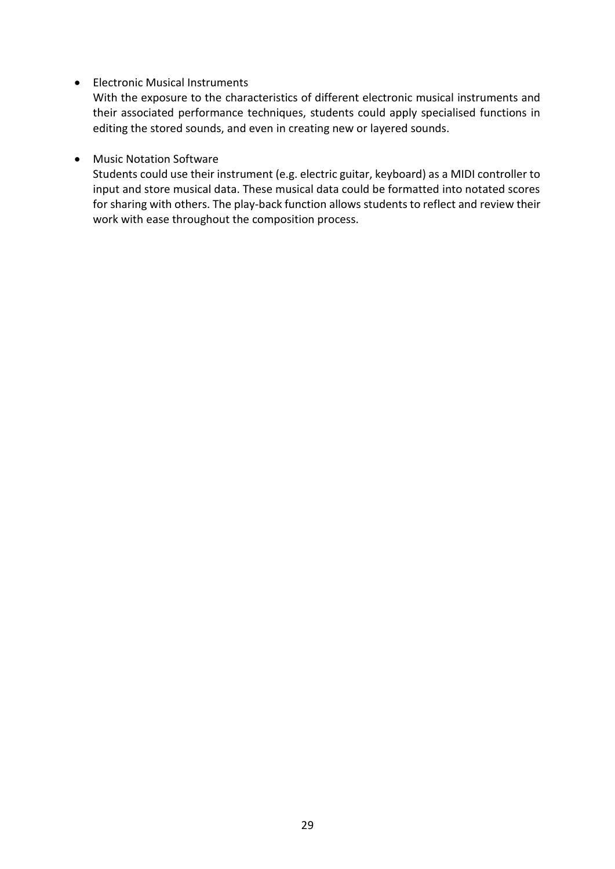#### • Electronic Musical Instruments

With the exposure to the characteristics of different electronic musical instruments and their associated performance techniques, students could apply specialised functions in editing the stored sounds, and even in creating new or layered sounds.

#### Music Notation Software

Students could use their instrument (e.g. electric guitar, keyboard) as a MIDI controller to input and store musical data. These musical data could be formatted into notated scores for sharing with others. The play-back function allows students to reflect and review their work with ease throughout the composition process.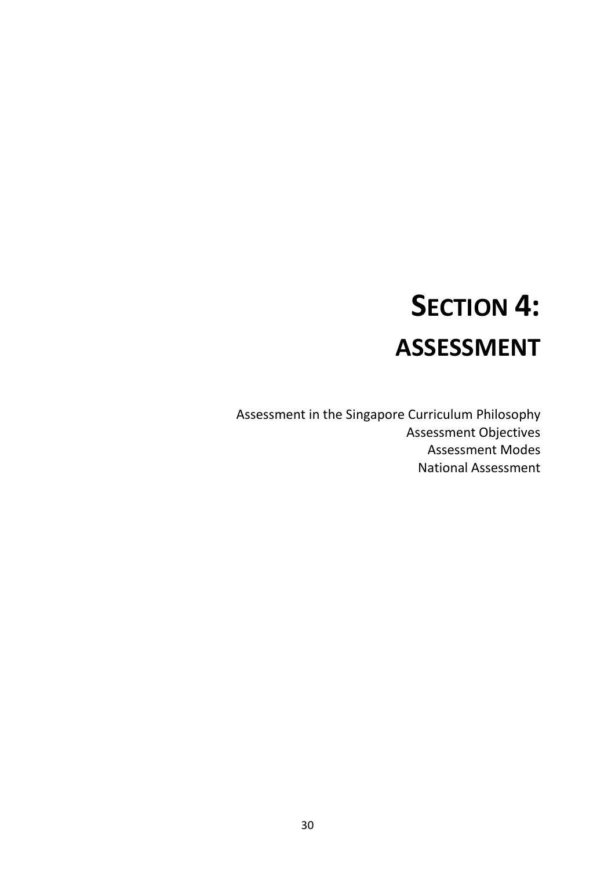# **SECTION 4: ASSESSMENT**

Assessment in the Singapore Curriculum Philosophy Assessment Objectives Assessment Modes National Assessment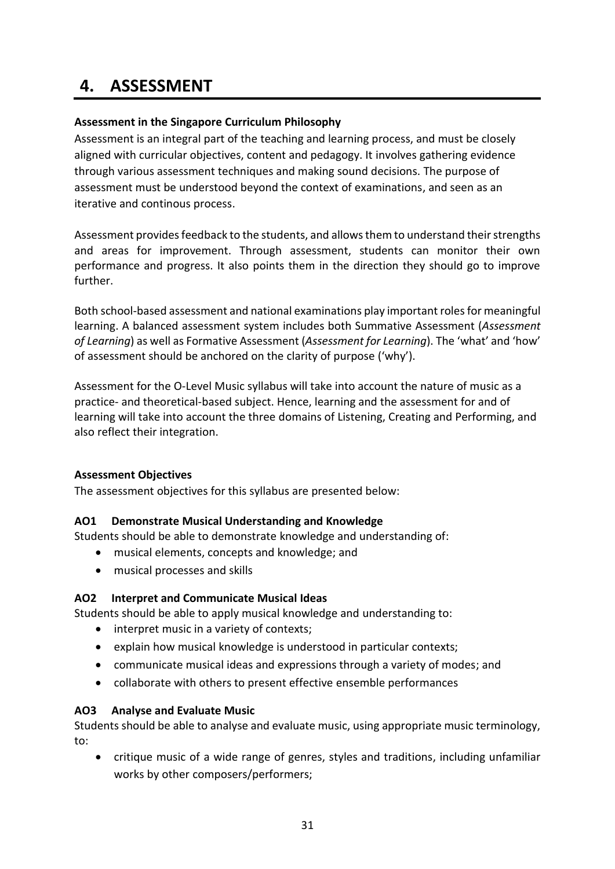## **4. ASSESSMENT**

#### **Assessment in the Singapore Curriculum Philosophy**

Assessment is an integral part of the teaching and learning process, and must be closely aligned with curricular objectives, content and pedagogy. It involves gathering evidence through various assessment techniques and making sound decisions. The purpose of assessment must be understood beyond the context of examinations, and seen as an iterative and continous process.

Assessment provides feedback to the students, and allows them to understand their strengths and areas for improvement. Through assessment, students can monitor their own performance and progress. It also points them in the direction they should go to improve further.

Both school-based assessment and national examinations play important rolesfor meaningful learning. A balanced assessment system includes both Summative Assessment (*Assessment of Learning*) as well as Formative Assessment (*Assessment for Learning*). The 'what' and 'how' of assessment should be anchored on the clarity of purpose ('why').

Assessment for the O-Level Music syllabus will take into account the nature of music as a practice- and theoretical-based subject. Hence, learning and the assessment for and of learning will take into account the three domains of Listening, Creating and Performing, and also reflect their integration.

#### **Assessment Objectives**

The assessment objectives for this syllabus are presented below:

#### **AO1 Demonstrate Musical Understanding and Knowledge**

Students should be able to demonstrate knowledge and understanding of:

- musical elements, concepts and knowledge; and
- musical processes and skills

#### **AO2 Interpret and Communicate Musical Ideas**

Students should be able to apply musical knowledge and understanding to:

- interpret music in a variety of contexts;
- explain how musical knowledge is understood in particular contexts;
- communicate musical ideas and expressions through a variety of modes; and
- collaborate with others to present effective ensemble performances

#### **AO3 Analyse and Evaluate Music**

Students should be able to analyse and evaluate music, using appropriate music terminology, to:

 critique music of a wide range of genres, styles and traditions, including unfamiliar works by other composers/performers;